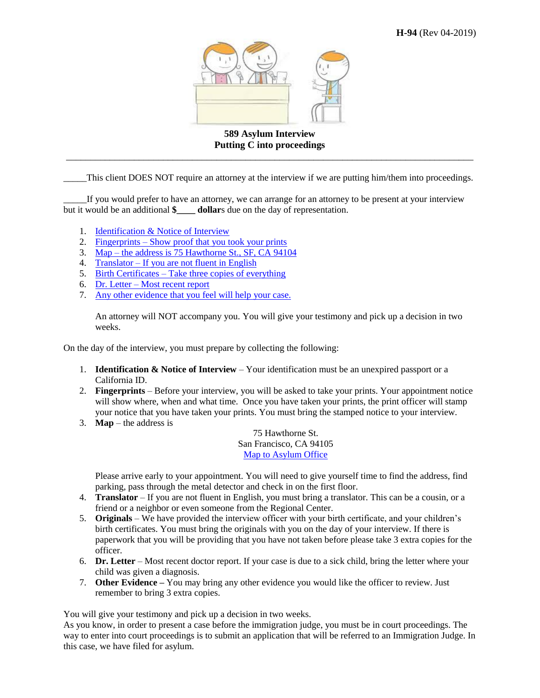

**589 Asylum Interview Putting C into proceedings** \_\_\_\_\_\_\_\_\_\_\_\_\_\_\_\_\_\_\_\_\_\_\_\_\_\_\_\_\_\_\_\_\_\_\_\_\_\_\_\_\_\_\_\_\_\_\_\_\_\_\_\_\_\_\_\_\_\_\_\_\_\_\_\_\_\_\_\_\_\_\_\_\_\_\_\_\_\_\_\_\_\_\_\_

\_\_\_\_\_This client DOES NOT require an attorney at the interview if we are putting him/them into proceedings.

If you would prefer to have an attorney, we can arrange for an attorney to be present at your interview but it would be an additional **\$** dollars due on the day of representation.

- 1. [Identification & Notice of Interview](#page-0-0)
- 2. Fingerprints [Show proof that you took your prints](#page-0-1)
- 3. Map [the address is 75 Hawthorne St., SF, CA 94104](#page-0-2)
- 4. Translator [If you are not fluent in English](#page-0-3)
- 5. Birth Certificates [Take three copies of everything](#page-0-4)
- 6. Dr. Letter [Most recent report](#page-0-5)
- 7. [Any other evidence that you feel will help your case.](#page-0-6)

An attorney will NOT accompany you. You will give your testimony and pick up a decision in two weeks.

On the day of the interview, you must prepare by collecting the following:

- <span id="page-0-0"></span>1. **Identification & Notice of Interview** – Your identification must be an unexpired passport or a California ID.
- <span id="page-0-1"></span>2. **Fingerprints** – Before your interview, you will be asked to take your prints. Your appointment notice will show where, when and what time. Once you have taken your prints, the print officer will stamp your notice that you have taken your prints. You must bring the stamped notice to your interview.
- <span id="page-0-2"></span>3. **Map** – the address is

75 Hawthorne St. San Francisco, CA 94105 [Map to Asylum Office](http://maps.google.com/maps?f=q&source=s_q&output=js&hl=en&geocode=&q=75+Hawthorne+St%2C+San+Francisco%2C+CA+94105&mrt=all&aq=0&oq=75%2520haw&vps=1&jsv=221a&sll=37.0625%2C-95.677068&sspn=40.27343%2C76.025391)

Please arrive early to your appointment. You will need to give yourself time to find the address, find parking, pass through the metal detector and check in on the first floor.

- <span id="page-0-3"></span>4. **Translator** – If you are not fluent in English, you must bring a translator. This can be a cousin, or a friend or a neighbor or even someone from the Regional Center.
- <span id="page-0-4"></span>5. **Originals** – We have provided the interview officer with your birth certificate, and your children's birth certificates. You must bring the originals with you on the day of your interview. If there is paperwork that you will be providing that you have not taken before please take 3 extra copies for the officer.
- <span id="page-0-5"></span>6. **Dr. Letter** – Most recent doctor report. If your case is due to a sick child, bring the letter where your child was given a diagnosis.
- <span id="page-0-6"></span>7. **Other Evidence –** You may bring any other evidence you would like the officer to review. Just remember to bring 3 extra copies.

You will give your testimony and pick up a decision in two weeks.

As you know, in order to present a case before the immigration judge, you must be in court proceedings. The way to enter into court proceedings is to submit an application that will be referred to an Immigration Judge. In this case, we have filed for asylum.